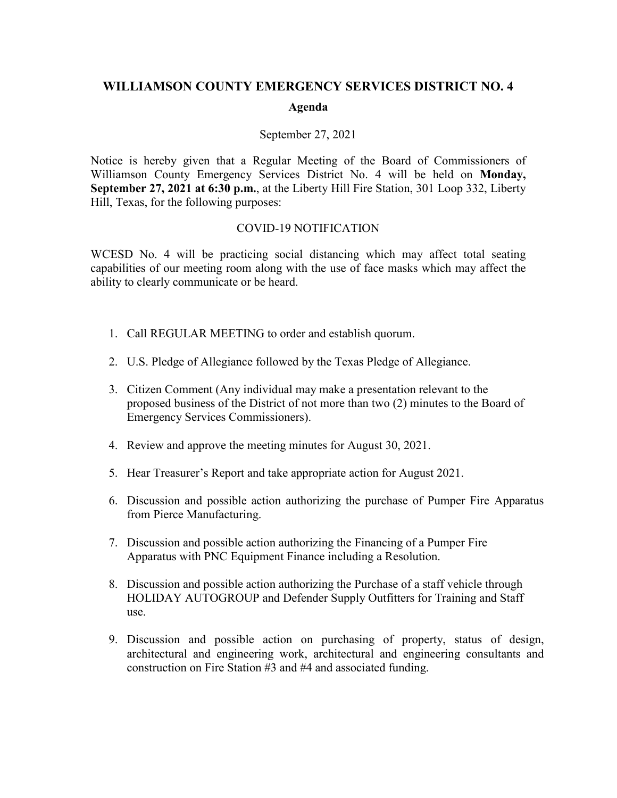## **WILLIAMSON COUNTY EMERGENCY SERVICES DISTRICT NO. 4 Agenda**

## September 27, 2021

Notice is hereby given that a Regular Meeting of the Board of Commissioners of Williamson County Emergency Services District No. 4 will be held on **Monday, September 27, 2021 at 6:30 p.m.**, at the Liberty Hill Fire Station, 301 Loop 332, Liberty Hill, Texas, for the following purposes:

## COVID-19 NOTIFICATION

WCESD No. 4 will be practicing social distancing which may affect total seating capabilities of our meeting room along with the use of face masks which may affect the ability to clearly communicate or be heard.

- 1. Call REGULAR MEETING to order and establish quorum.
- 2. U.S. Pledge of Allegiance followed by the Texas Pledge of Allegiance.
- 3. Citizen Comment (Any individual may make a presentation relevant to the proposed business of the District of not more than two (2) minutes to the Board of Emergency Services Commissioners).
- 4. Review and approve the meeting minutes for August 30, 2021.
- 5. Hear Treasurer's Report and take appropriate action for August 2021.
- 6. Discussion and possible action authorizing the purchase of Pumper Fire Apparatus from Pierce Manufacturing.
- 7. Discussion and possible action authorizing the Financing of a Pumper Fire Apparatus with PNC Equipment Finance including a Resolution.
- 8. Discussion and possible action authorizing the Purchase of a staff vehicle through HOLIDAY AUTOGROUP and Defender Supply Outfitters for Training and Staff use.
- 9. Discussion and possible action on purchasing of property, status of design, architectural and engineering work, architectural and engineering consultants and construction on Fire Station #3 and #4 and associated funding.